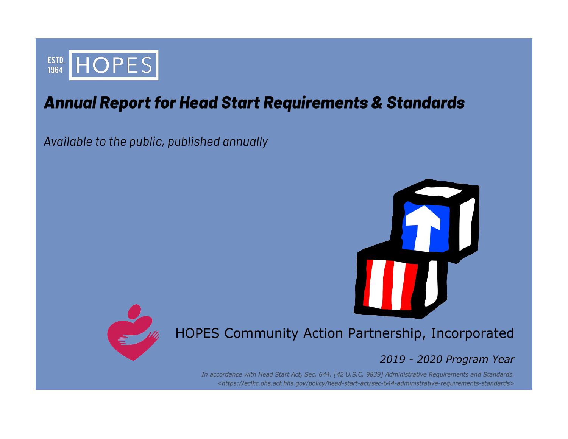

# **Annual Report for Head Start Requirements & Standards**

Available to the public, published annually





# HOPES Community Action Partnership, Incorporated

# 2019 - 2020 Program Year

In accordance with Head Start Act, Sec. 644. [42 U.S.C. 9839] Administrative Requirements and Standards. <https://eclkc.ohs.acf.hhs.gov/policy/head-start-act/sec-644-administrative-requirements-standards>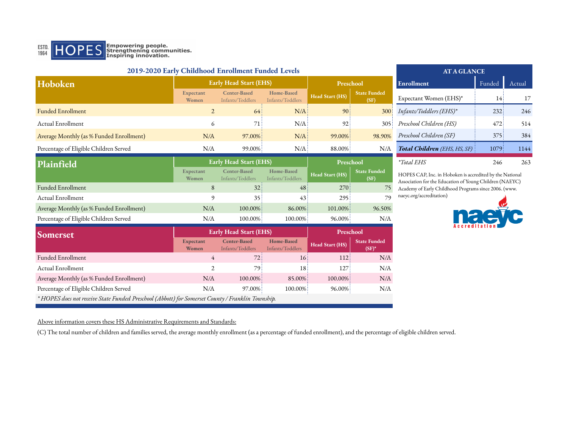

| 2019-2020 Early Childhood Enrollment Funded Levels |                    |                                  |                                |                 |                             | <b>AT A GLANCE</b>                  |        |        |
|----------------------------------------------------|--------------------|----------------------------------|--------------------------------|-----------------|-----------------------------|-------------------------------------|--------|--------|
| Hoboken                                            |                    | <b>Early Head Start (EHS)</b>    |                                | Preschool       |                             | Enrollment                          | Funded | Actual |
|                                                    | Expectant<br>Women | Center-Based<br>Infants/Toddlers | Home-Based<br>Infants/Toddlers | Head Start (HS) | <b>State Funded</b><br>(SF) | Expectant Women (EHS)*              | 14:    | 17     |
| <b>Funded Enrollment</b>                           |                    | 64:                              | N/A                            | 90:             | 300:                        | Infants/Toddlers (EHS)*             | 232:   | 246    |
| Actual Enrollment                                  | 6                  | 71 i                             | N/A                            | 92              | 305:                        | Preschool Children (HS)             | 472    | 514    |
| Average Monthly (as % Funded Enrollment)           | N/A                | 97.00%                           | N/A                            | 99.00%          | 98.90%                      | Preschool Children (SF)             | 375    | 384    |
| Percentage of Eligible Children Served             | N/A                | 99.00%                           | N/A                            | 88.00%          | N/A                         | <b>Total Children</b> (EHS, HS, SF) | 1079   | 1144   |
| Plainfield                                         |                    | <b>Early Head Start (EHS)</b>    |                                | Preschool       |                             | <i>*Total EHS</i>                   | 246    | 263    |

**Home-Based** 

**In Figure 11 State Funded**<br>(SF)

**(SF)** HOPES CAP, Inc. in Hoboken is accredited by the National Association for the Education of Young Children (NAEYC) Academy of Early Childhood Programs since 2006. (www. naeyc.org/accreditation)



| Average Monthly (as % Funded Enrollment)                                                          | N/A                | 100.00%                                 | 86.00%                         | 101.00%         | 96.50%                          |
|---------------------------------------------------------------------------------------------------|--------------------|-----------------------------------------|--------------------------------|-----------------|---------------------------------|
| Percentage of Eligible Children Served                                                            | N/A                | 100.00%                                 | 100.00%                        | $96.00\%$       | N/A                             |
| Somerset                                                                                          |                    | <b>Early Head Start (EHS)</b>           |                                | Preschool       |                                 |
|                                                                                                   | Expectant<br>Women | <b>Center-Based</b><br>Infants/Toddlers | Home-Based<br>Infants/Toddlers | Head Start (HS) | <b>State Funded</b><br>$(SF)^*$ |
| <b>Funded Enrollment</b>                                                                          | 4                  | 72:                                     | 16 <sup>1</sup>                | 112:            | N/A                             |
| Actual Enrollment                                                                                 |                    | 79                                      | 18 <sup>1</sup>                | 127             | N/A                             |
| Average Monthly (as % Funded Enrollment)                                                          | N/A                | 100.00%                                 | 85.00%                         | 100.00%         | N/A                             |
| Percentage of Eligible Children Served                                                            | N/A                | 97.00%                                  | 100.00%                        | $96.00\%$       | N/A                             |
| * HOPES does not receive State Funded Preschool (Abbott) for Somerset County / Franklin Township. |                    |                                         |                                |                 |                                 |

Funded Enrollment 270 32 48 270 270 275 Actual Enrollment  $\begin{array}{ccc} 9 & 35 & 43 & 295 & 79 \end{array}$ 

**Center-Based** Infants/Toddlers

**Expectant Women**

Above information covers these HS Administrative Requirements and Standards:

(C) The total number of children and families served, the average monthly enrollment (as a percentage of funded enrollment), and the percentage of eligible children served.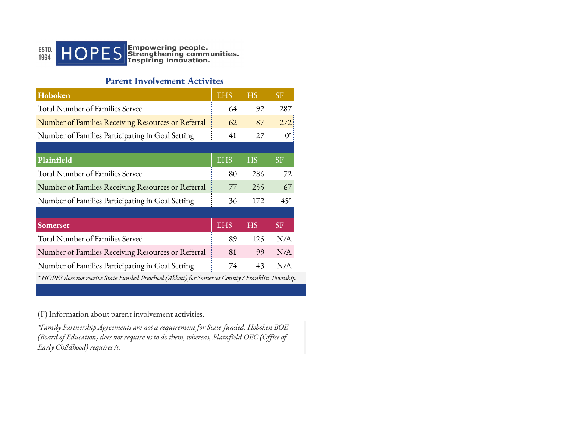

## **Parent Involvement Activites**

| Hoboken                                                                                           | <b>EHS</b>      | <b>HS</b> | <b>SF</b> |
|---------------------------------------------------------------------------------------------------|-----------------|-----------|-----------|
| Total Number of Families Served                                                                   | 64:             | 92:       | 287       |
| Number of Families Receiving Resources or Referral                                                | 62:             | 87:       | 272:      |
| Number of Families Participating in Goal Setting                                                  | 41              | 27        | $0^*$     |
|                                                                                                   |                 |           |           |
| Plainfield                                                                                        | <b>EHS</b>      | <b>HS</b> | <b>SF</b> |
| Total Number of Families Served                                                                   | 80 <sub>i</sub> | 286       | 72        |
| Number of Families Receiving Resources or Referral                                                | 77 i            | 255       | 67        |
| Number of Families Participating in Goal Setting                                                  | $36\frac{1}{3}$ | 172       | $45*$     |
|                                                                                                   |                 |           |           |
| <b>Somerset</b>                                                                                   | <b>EHS</b>      | <b>HS</b> | <b>SF</b> |
| Total Number of Families Served                                                                   | 89 <sup>1</sup> | 125       | N/A       |
| Number of Families Receiving Resources or Referral                                                | 81:             | 99:       | N/A       |
| Number of Families Participating in Goal Setting                                                  | 74:             | 43        | N/A       |
| * HOPES does not receive State Funded Preschool (Abbott) for Somerset County / Franklin Township. |                 |           |           |

(F) Information about parent involvement activities.

*\*Family Partnership Agreements are not a requirement for State-funded. Hoboken BOE (Board of Education) does not require us to do them, whereas, Plainfield OEC (Office of Early Childhood) requires it.*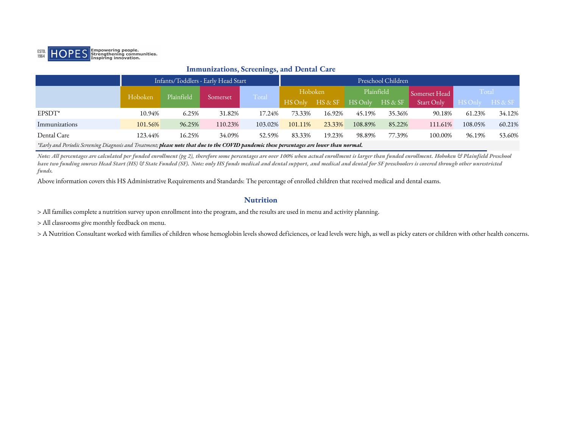

#### **Immunizations, Screenings, and Dental Care**

|                                                                                                                                            |         | Infants/Toddlers - Early Head Start |          |         |           |        |            | Preschool Children |               |         |         |
|--------------------------------------------------------------------------------------------------------------------------------------------|---------|-------------------------------------|----------|---------|-----------|--------|------------|--------------------|---------------|---------|---------|
|                                                                                                                                            | Hoboken | Plainfield                          | Somerset | Total   | Hoboken   |        | Plainfield |                    | Somerset Head | Total   |         |
|                                                                                                                                            |         |                                     |          |         | $HS$ Only | HS & S | HS Only    | HS & SF            | Start Only    | HS Only | HS & SF |
| EPSDT <sup>*</sup>                                                                                                                         | 10.94%  | 6.25%                               | 31.82%   | 17.24%  | 73.33%    | 16.92% | 45.19%     | 35.36%             | 90.18%        | 61.23%  | 34.12%  |
| Immunizations                                                                                                                              | 101.56% | 96.25%                              | 110.23%  | 103.02% | 101.11%   | 23.33% | 108.89%    | 85.22%             | 111.61%       | 108.05% | 60.21%  |
| Dental Care                                                                                                                                | 123.44% | 16.25%                              | 34.09%   | 52.59%  | 83.33%    | 19.23% | 98.89%     | 77.39%             | 100.00%       | 96.19%  | 53.60%  |
| *Early and Periodic Screening Diagnosis and Treatment; please note that due to the COVID pandemic these percentages are lower than normal. |         |                                     |          |         |           |        |            |                    |               |         |         |

*Note: All percentages are calculated per funded enrollment (pg 2), therefore some percentages are over 100% when actual enrollment is larger than funded enrollment. Hoboken & Plainfield Preschool*  have two funding sources Head Start (HS) & State Funded (SF). Note: only HS funds medical and dental support, and medical and dental for SF preschoolers is covered through other unrestricted *funds.*

Above information covers this HS Administrative Requirements and Standards: The percentage of enrolled children that received medical and dental exams.

#### **Nutrition**

> All families complete a nutrition survey upon enrollment into the program, and the results are used in menu and activity planning.

> All classrooms give monthly feedback on menu.

> A Nutrition Consultant worked with families of children whose hemoglobin levels showed deficiences, or lead levels were high, as well as picky eaters or children with other health concerns.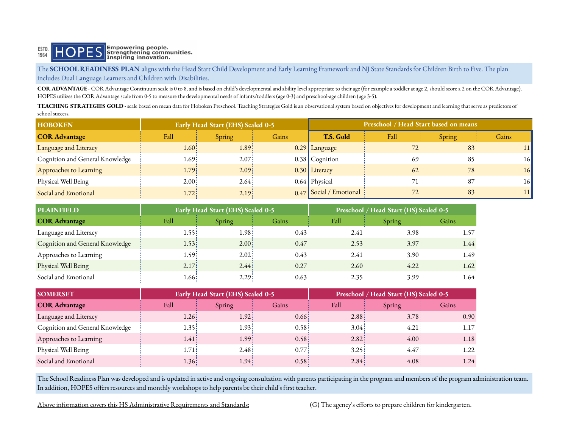

The SCHOOL READINESS PLAN aligns with the Head Start Child Development and Early Learning Framework and NJ State Standards for Children Birth to Five. The plan includes Dual Language Learners and Children with Disabilities.

**COR ADVANTAGE** - COR Advantage Continuum scale is 0 to 8, and is based on child's developmental and ability level appropriate to their age (for example a toddler at age 2, should score a 2 on the COR Advantage). HOPES utilizes the COR Advantage scale from 0-5 to measure the developmental needs of infants/toddlers (age 0-3) and preschool-age children (age 3-5).

TEACHING STRATEGIES GOLD - scale based on mean data for Hoboken Preschool. Teaching Strategies Gold is an observational system based on objectives for development and learning that serve as predictors of school success.

| <b>HOBOKEN</b>                  |                   | <b>Early Head Start (EHS) Scaled 0-5</b> |       |                         | Preschool / Head Start based on means |        |       |
|---------------------------------|-------------------|------------------------------------------|-------|-------------------------|---------------------------------------|--------|-------|
| <b>COR Advantage</b>            | Fall              | Spring                                   | Gains | T.S. Gold               | Fall                                  | Spring | Gains |
| Language and Literacy           | 1.60 <sub>1</sub> | 1.89                                     |       | $0.29$ Language         |                                       | 83     |       |
| Cognition and General Knowledge | 1.69 <sup>1</sup> | 2.07                                     |       | $0.38$ Cognition        | -69                                   | 85     | 16    |
| Approaches to Learning          | 1.79:             | 2.09                                     |       | 0.30 Literacy           | 62                                    | 78     | 16    |
| Physical Well Being             | 2.00              | 2.64                                     |       | $0.64$ Physical         |                                       | 87     | 16    |
| Social and Emotional            | 1.72:             | 2.19:                                    |       | 0.47 Social / Emotional |                                       | 83     |       |

| <b>PLAINFIELD</b>               |      | Early Head Start (EHS) Scaled 0-5 |       |      | Preschool / Head Start (HS) Scaled 0-5 |       |
|---------------------------------|------|-----------------------------------|-------|------|----------------------------------------|-------|
| <b>COR Advantage</b>            | Fall | <b>Spring</b>                     | Gains | Fall | <b>Spring</b>                          | Gains |
| Language and Literacy           | 1.55 | 1.98 !                            | 0.43  | 2.41 | 3.98                                   | 1.57  |
| Cognition and General Knowledge | 1.53 | 2.00                              | 0.47  | 2.53 | 3.97                                   | 1.44  |
| Approaches to Learning          | 1.59 | 2.02                              | 0.43  | 2.41 | 3.90                                   | 1.49  |
| Physical Well Being             | 2.17 | 2.44:                             | 0.27  | 2.60 | 4.22                                   | 1.62  |
| Social and Emotional            | 1.66 | 2.29                              | 0.63  | 2.35 | 3.99                                   | 1.64  |

| <b>SOMERSET</b>                 |       | Early Head Start (EHS) Scaled 0-5 |       |                   | Preschool / Head Start (HS) Scaled 0-5 |       |
|---------------------------------|-------|-----------------------------------|-------|-------------------|----------------------------------------|-------|
| <b>COR Advantage</b>            | Fall  | Spring                            | Gains | Fall              | Spring                                 | Gains |
| Language and Literacy           | 1.26  | 1.92:                             | 0.66  | 2.88              | 3.78                                   | 0.90  |
| Cognition and General Knowledge | 1.35  | 1.93                              | 0.58  | 3.04 <sup>1</sup> | 4.21                                   | 1.17  |
| Approaches to Learning          | 1.41: | 1.99 <sub>1</sub>                 | 0.58  | 2.82              | 4.00:                                  | 1.18  |
| Physical Well Being             | 1.71  | 2.48                              | 0.77  | 3.25              | 4.47                                   | 1.22  |
| Social and Emotional            | 1.36  | 1.94 <sup>1</sup>                 | 0.58  | 2.84:             | 4.08                                   | 1.24  |

The School Readiness Plan was developed and is updated in active and ongoing consultation with parents participating in the program and members of the program administration team. In addition, HOPES offers resources and monthly workshops to help parents be their child's first teacher.

Above information covers this HS Administrative Requirements and Standards: (G) The agency's efforts to prepare children for kindergarten.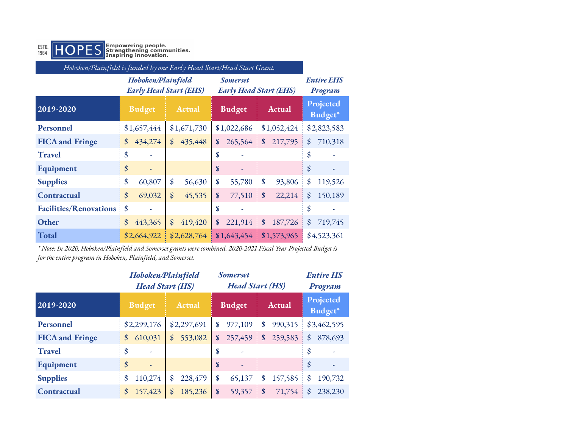

| Hoboken/Plainfield is funded by one Early Head Start/Head Start Grant. |                           |                                                     |                            |             |                            |                                                  |                   |             |               |                              |
|------------------------------------------------------------------------|---------------------------|-----------------------------------------------------|----------------------------|-------------|----------------------------|--------------------------------------------------|-------------------|-------------|---------------|------------------------------|
|                                                                        |                           | Hoboken/Plainfield<br><b>Early Head Start (EHS)</b> |                            |             |                            | <b>Somerset</b><br><b>Early Head Start (EHS)</b> |                   |             |               | <b>Entire EHS</b><br>Program |
| 2019-2020                                                              |                           | Budget                                              |                            | Actual      |                            | <b>Budget</b>                                    |                   | Actual      |               | Projected<br>Budget*         |
| Personnel                                                              |                           | \$1,657,444                                         |                            | \$1,671,730 |                            | \$1,022,686                                      |                   | \$1,052,424 |               | \$2,823,583                  |
| <b>FICA</b> and Fringe                                                 | \$                        | 434,274                                             | \$                         | 435,448     | \$                         | 265,564                                          | $\boldsymbol{\$}$ | 217,795     | $\mathbf{\$}$ | 710,318                      |
| <b>Travel</b>                                                          | \$                        |                                                     |                            |             | \$                         |                                                  |                   |             | \$            |                              |
| Equipment                                                              | \$                        | ٠                                                   |                            |             | $\boldsymbol{\mathsf{\$}}$ |                                                  |                   |             | \$            |                              |
| <b>Supplies</b>                                                        | \$                        | 60,807                                              | \$                         | 56,630      | \$                         | 55,780                                           | \$                | 93,806      | \$            | 119,526                      |
| Contractual                                                            | $\boldsymbol{\mathsf{S}}$ | 69,032                                              | $\boldsymbol{\mathsf{\$}}$ | 45,535      | \$                         | 77,510                                           | \$                | 22,214      | \$            | 150,189                      |
| Facilities/Renovations                                                 | \$                        |                                                     |                            |             | \$                         |                                                  |                   |             | \$            |                              |
| Other                                                                  | \$                        | 443,365                                             | $\boldsymbol{\mathsf{S}}$  | 419,420     | \$                         | 221,914                                          | \$                | 187,726     | \$            | 719,745                      |
| Total                                                                  |                           | \$2,664,922                                         |                            | \$2,628,764 |                            | \$1,643,454                                      |                   | \$1,573,965 |               | \$4,523,361                  |

*\* Note: In 2020, Hoboken/Plainfield and Somerset grants were combined. 2020-2021 Fiscal Year Projected Budget is for the entire program in Hoboken, Plainfield, and Somerset.*

|                        | Hoboken/Plainfield<br><b>Head Start (HS)</b> |                              | <b>Somerset</b>              | <b>Head Start (HS)</b>                      | <b>Entire HS</b><br>Program  |
|------------------------|----------------------------------------------|------------------------------|------------------------------|---------------------------------------------|------------------------------|
| 2019-2020              | <b>Budget</b>                                | Actual                       | <b>Budget</b>                | Actual                                      | Projected<br>Budget*         |
| Personnel              | \$2,299,176                                  | \$2,297,691                  | 977,109<br>\$                | 990,315<br>\$<br>Ŧ.                         | \$3,462,595                  |
| <b>FICA</b> and Fringe | 610,031<br>\$                                | 553,082<br>$\boldsymbol{\$}$ | 257,459<br>$\boldsymbol{\$}$ | 259,583<br>$\frac{1}{2}$ \$                 | $\boldsymbol{\$}$<br>878,693 |
| Travel                 |                                              |                              | \$                           |                                             |                              |
| Equipment              | ٠                                            |                              | \$<br>٠                      |                                             |                              |
| <b>Supplies</b>        | 110,274                                      | 228,479<br>\$                | \$<br>65,137                 | 157,585<br>$\boldsymbol{\mathsf{\$}}$<br>Ť. | 190,732<br>\$                |
| Contractual            | 157,423                                      | 185,236<br>\$                | $59,357 :$ \$<br>\$          | $71,754$   \$                               | 238,230                      |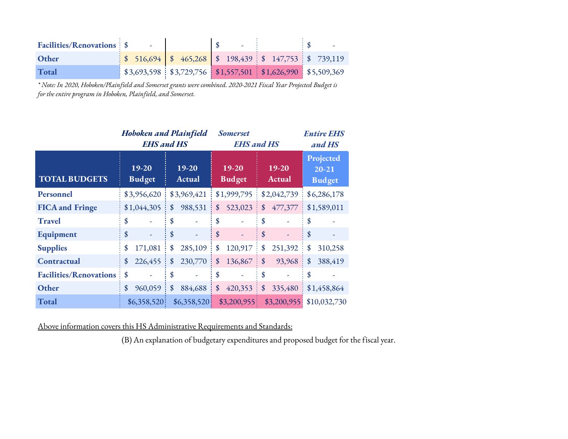| <b>Facilities/Renovations: \$</b> |                                                                      |  |  |
|-----------------------------------|----------------------------------------------------------------------|--|--|
| <b>Other</b>                      | $\frac{1}{3}$ \$ 516,694 \$ 465,268 \$ 198,439 \$ 147,753 \$ 739,119 |  |  |
| Total                             | $$3,693,598$ $$3,729,756$ $$1,557,501$ $$1,626,990$ $$5,509,369$     |  |  |

*\* Note: In 2020, Hoboken/Plainfield and Somerset grants were combined. 2020-2021 Fiscal Year Projected Budget is for the entire program in Hoboken, Plainfield, and Somerset.*

|                               | <b>Hoboken and Plainfield</b><br><b>EHS</b> and <b>HS</b> |                            |                   | <b>Somerset</b><br><b>EHS</b> and <b>HS</b> |                                  |                            | <b>Entire EHS</b><br>and HS             |
|-------------------------------|-----------------------------------------------------------|----------------------------|-------------------|---------------------------------------------|----------------------------------|----------------------------|-----------------------------------------|
| <b>TOTAL BUDGETS</b>          | $19-20$<br><b>Budget</b>                                  |                            | $19-20$<br>Actual | $19-20$<br><b>Budget</b>                    |                                  | 19-20<br>Actual            | Projected<br>$20 - 21$<br><b>Budget</b> |
| Personnel                     | \$3,956,620                                               |                            | \$3,969,421       | \$1,999,795                                 |                                  | \$2,042,739                | \$6,286,178                             |
| <b>FICA</b> and Fringe        | \$1,044,305                                               | \$                         | 988,531           | \$<br>523,023                               | $\mathbf{\$}$                    | 477,377                    | \$1,589,011                             |
| <b>Travel</b>                 | \$<br>÷,                                                  | \$                         | ٠                 | \$<br>٠                                     | \$                               | ٠                          | \$                                      |
| Equipment                     | \$<br>ä,                                                  | $\boldsymbol{\mathsf{\$}}$ | ٠                 | \$<br>ä,                                    | $\boldsymbol{\hat{\mathcal{S}}}$ | ٠                          | \$                                      |
| <b>Supplies</b>               | \$<br>171,081                                             | \$                         | 285,109           | \$<br>120,917                               | \$                               | 251,392                    | \$<br>310,258                           |
| Contractual                   | \$<br>226,455                                             | \$                         | 230,770           | \$<br>136,867                               | \$                               | 93,968                     | \$<br>388,419                           |
| <b>Facilities/Renovations</b> | \$                                                        | \$                         |                   | \$<br>u,                                    | \$                               |                            | \$                                      |
| Other                         | \$<br>960,059                                             | \$                         | 884,688           | \$<br>420,353                               | \$                               | 335,480                    | \$1,458,864                             |
| Total                         | \$6,358,520                                               |                            | \$6,358,520       | \$3,200,955                                 |                                  | $$3,200,955$ $$10,032,730$ |                                         |

Above information covers this HS Administrative Requirements and Standards:

(B) An explanation of budgetary expenditures and proposed budget for the fiscal year.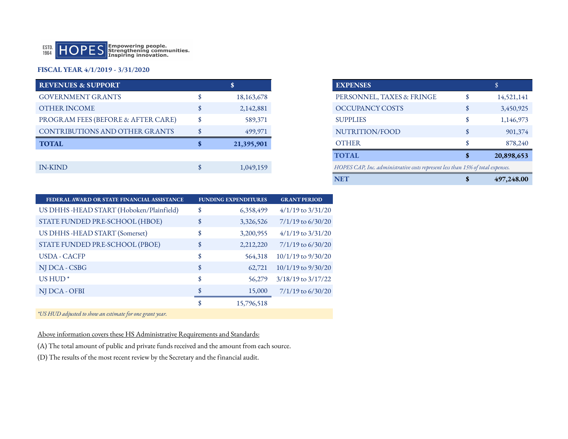

#### **FISCAL YEAR 4/1/2019 - 3/31/2020**

| <b>REVENUES &amp; SUPPORT</b>      |              |
|------------------------------------|--------------|
| <b>GOVERNMENT GRANTS</b>           | 18, 163, 678 |
| <b>OTHER INCOME</b>                | 2,142,881    |
| PROGRAM FEES (BEFORE & AFTER CARE) | 589,371      |
| CONTRIBUTIONS AND OTHER GRANTS     | 499,971      |
| <b>TOTAL</b>                       | 21,395,901   |
|                                    |              |
| <b>IN-KIND</b>                     | 1,049,159    |
|                                    |              |

| <b>EXPENSES</b>                                                                 |    |            |  |  |
|---------------------------------------------------------------------------------|----|------------|--|--|
| PERSONNEL, TAXES & FRINGE                                                       | \$ | 14,521,141 |  |  |
| OCCUPANCY COSTS                                                                 | \$ | 3,450,925  |  |  |
| <b>SUPPLIES</b>                                                                 | \$ | 1,146,973  |  |  |
| NUTRITION/FOOD                                                                  | \$ | 901,374    |  |  |
| <b>OTHER</b>                                                                    | \$ | 878,240    |  |  |
| <b>TOTAL</b>                                                                    | S  | 20,898,653 |  |  |
| HOPES CAP, Inc. administrative costs represent less than 15% of total expenses. |    |            |  |  |
| <b>NET</b>                                                                      | \$ | 497,248.00 |  |  |

| FEDERAL AWARD OR STATE FINANCIAL ASSISTANCE                                  | <b>FUNDING EXPENDITURES</b> | <b>GRANT PERIOD</b>    |
|------------------------------------------------------------------------------|-----------------------------|------------------------|
| US DHHS -HEAD START (Hoboken/Plainfield)                                     | \$<br>6,358,499             | $4/1/19$ to $3/31/20$  |
| STATE FUNDED PRE-SCHOOL (HBOE)                                               | \$<br>3,326,526             | $7/1/19$ to $6/30/20$  |
| US DHHS -HEAD START (Somerset)                                               | \$<br>3,200,955             | $4/1/19$ to $3/31/20$  |
| STATE FUNDED PRE-SCHOOL (PBOE)                                               | \$<br>2,212,220             | $7/1/19$ to 6/30/20    |
| <b>USDA - CACFP</b>                                                          | \$<br>564,318               | $10/1/19$ to $9/30/20$ |
| NJ DCA - CSBG                                                                | \$<br>62,721                | $10/1/19$ to $9/30/20$ |
| US $HUD^*$                                                                   | \$<br>56,279                | $3/18/19$ to $3/17/22$ |
| NJ DCA - OFBI                                                                | \$<br>15,000                | $7/1/19$ to 6/30/20    |
|                                                                              | \$<br>15,796,518            |                        |
| $* \tau \tau \sigma \tau \tau \tau \tau$ , $\tau$ , $\tau$ , $\tau$ , $\tau$ |                             |                        |

*\*US HUD adjusted to show an estimate for one grant year.* 

Above information covers these HS Administrative Requirements and Standards:

(A) The total amount of public and private funds received and the amount from each source.

(D) The results of the most recent review by the Secretary and the financial audit.